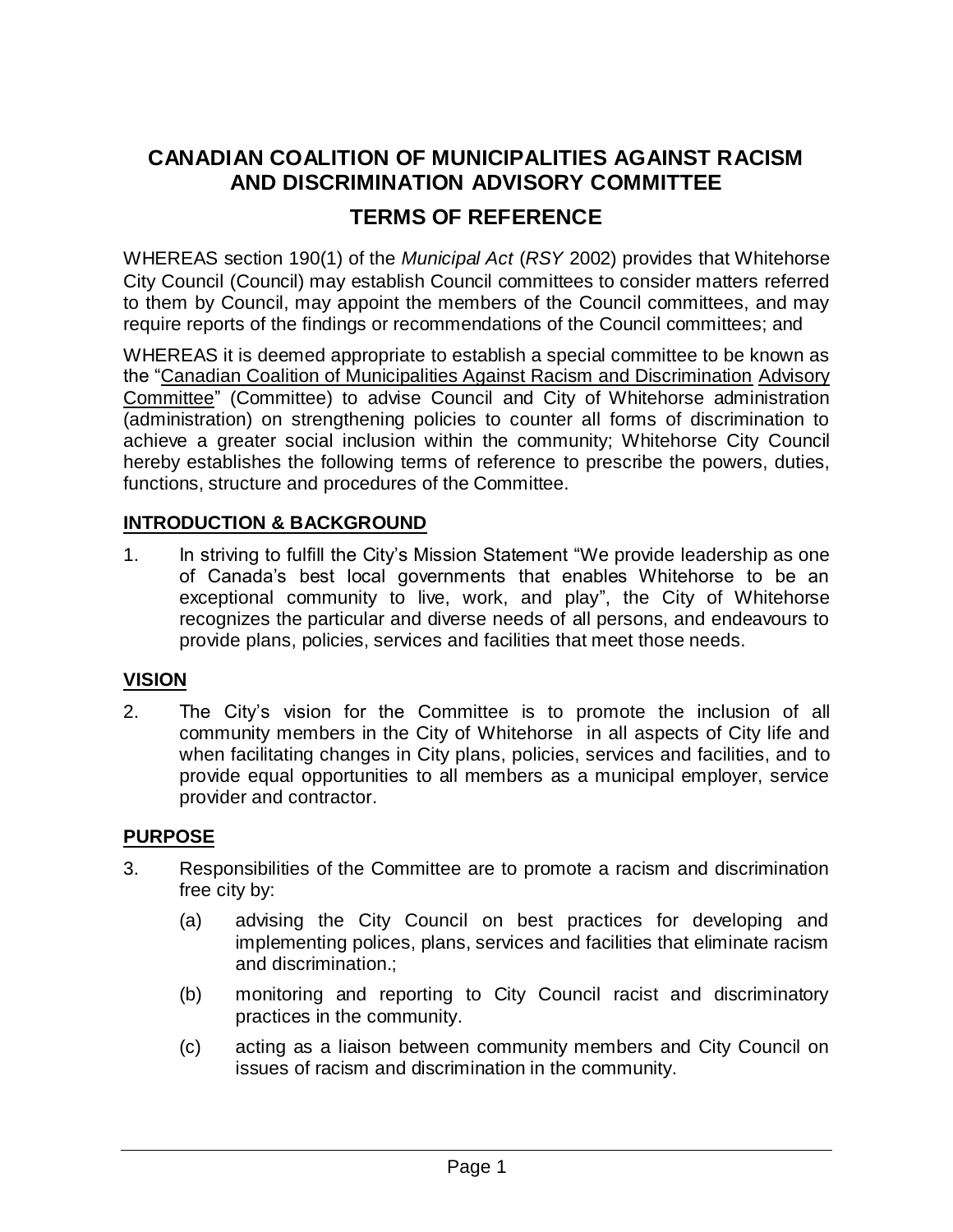# **CANADIAN COALITION OF MUNICIPALITIES AGAINST RACISM AND DISCRIMINATION ADVISORY COMMITTEE TERMS OF REFERENCE**

WHEREAS section 190(1) of the *Municipal Act* (*RSY* 2002) provides that Whitehorse City Council (Council) may establish Council committees to consider matters referred to them by Council, may appoint the members of the Council committees, and may require reports of the findings or recommendations of the Council committees; and

WHEREAS it is deemed appropriate to establish a special committee to be known as the "Canadian Coalition of Municipalities Against Racism and Discrimination Advisory Committee" (Committee) to advise Council and City of Whitehorse administration (administration) on strengthening policies to counter all forms of discrimination to achieve a greater social inclusion within the community; Whitehorse City Council hereby establishes the following terms of reference to prescribe the powers, duties, functions, structure and procedures of the Committee.

### **INTRODUCTION & BACKGROUND**

1. In striving to fulfill the City's Mission Statement "We provide leadership as one of Canada's best local governments that enables Whitehorse to be an exceptional community to live, work, and play", the City of Whitehorse recognizes the particular and diverse needs of all persons, and endeavours to provide plans, policies, services and facilities that meet those needs.

### **VISION**

2. The City's vision for the Committee is to promote the inclusion of all community members in the City of Whitehorse in all aspects of City life and when facilitating changes in City plans, policies, services and facilities, and to provide equal opportunities to all members as a municipal employer, service provider and contractor.

### **PURPOSE**

- 3. Responsibilities of the Committee are to promote a racism and discrimination free city by:
	- (a) advising the City Council on best practices for developing and implementing polices, plans, services and facilities that eliminate racism and discrimination.;
	- (b) monitoring and reporting to City Council racist and discriminatory practices in the community.
	- (c) acting as a liaison between community members and City Council on issues of racism and discrimination in the community.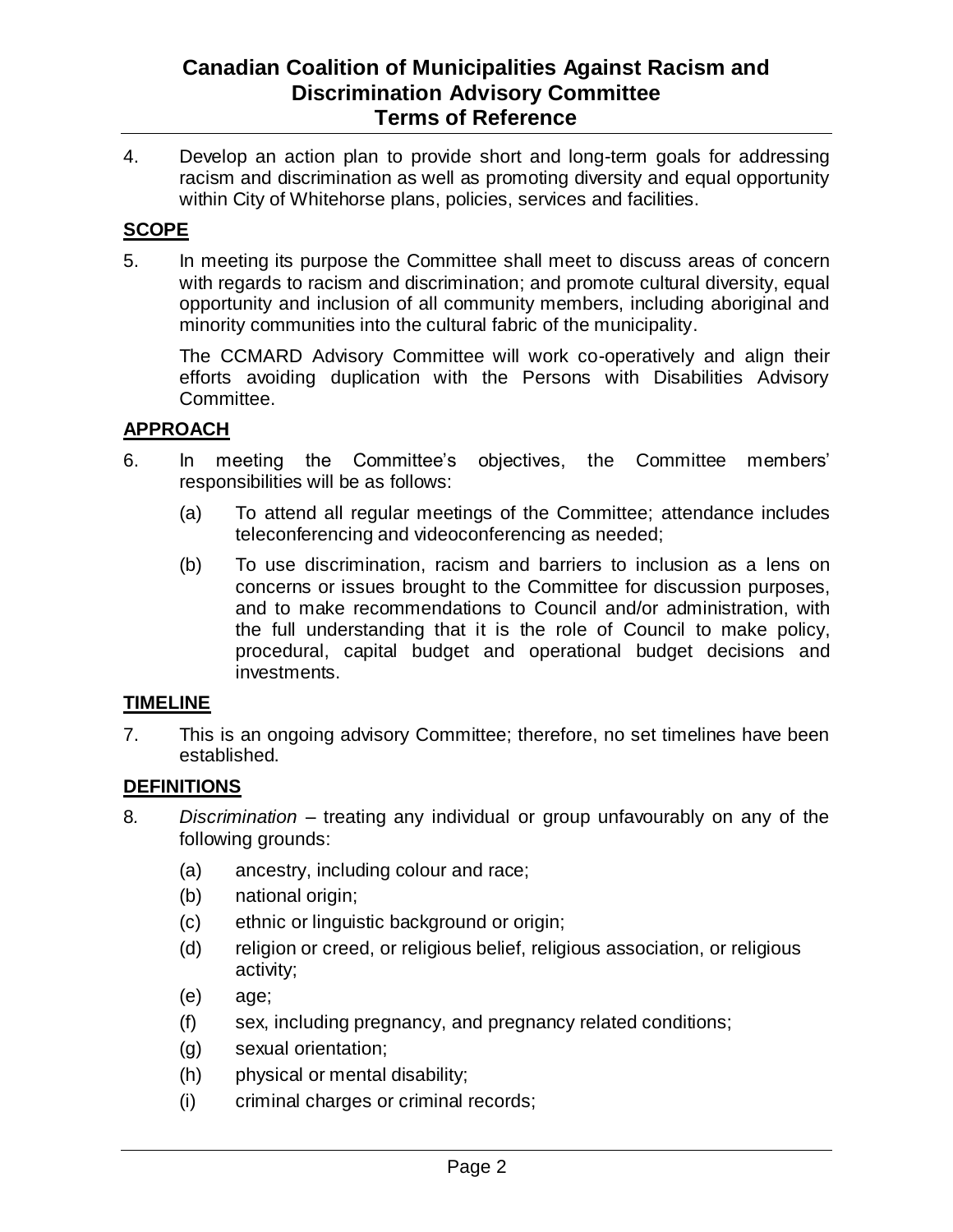4. Develop an action plan to provide short and long-term goals for addressing racism and discrimination as well as promoting diversity and equal opportunity within City of Whitehorse plans, policies, services and facilities.

### **SCOPE**

5. In meeting its purpose the Committee shall meet to discuss areas of concern with regards to racism and discrimination; and promote cultural diversity, equal opportunity and inclusion of all community members, including aboriginal and minority communities into the cultural fabric of the municipality.

The CCMARD Advisory Committee will work co-operatively and align their efforts avoiding duplication with the Persons with Disabilities Advisory Committee.

### **APPROACH**

- 6. In meeting the Committee's objectives, the Committee members' responsibilities will be as follows:
	- (a) To attend all regular meetings of the Committee; attendance includes teleconferencing and videoconferencing as needed;
	- (b) To use discrimination, racism and barriers to inclusion as a lens on concerns or issues brought to the Committee for discussion purposes, and to make recommendations to Council and/or administration, with the full understanding that it is the role of Council to make policy, procedural, capital budget and operational budget decisions and investments.

### **TIMELINE**

7. This is an ongoing advisory Committee; therefore, no set timelines have been established.

### **DEFINITIONS**

- 8*. Discrimination* treating any individual or group unfavourably on any of the following grounds:
	- (a) ancestry, including colour and race;
	- (b) national origin;
	- (c) ethnic or linguistic background or origin;
	- (d) religion or creed, or religious belief, religious association, or religious activity;
	- (e) age;
	- (f) sex, including pregnancy, and pregnancy related conditions;
	- (g) sexual orientation;
	- (h) physical or mental disability;
	- (i) criminal charges or criminal records;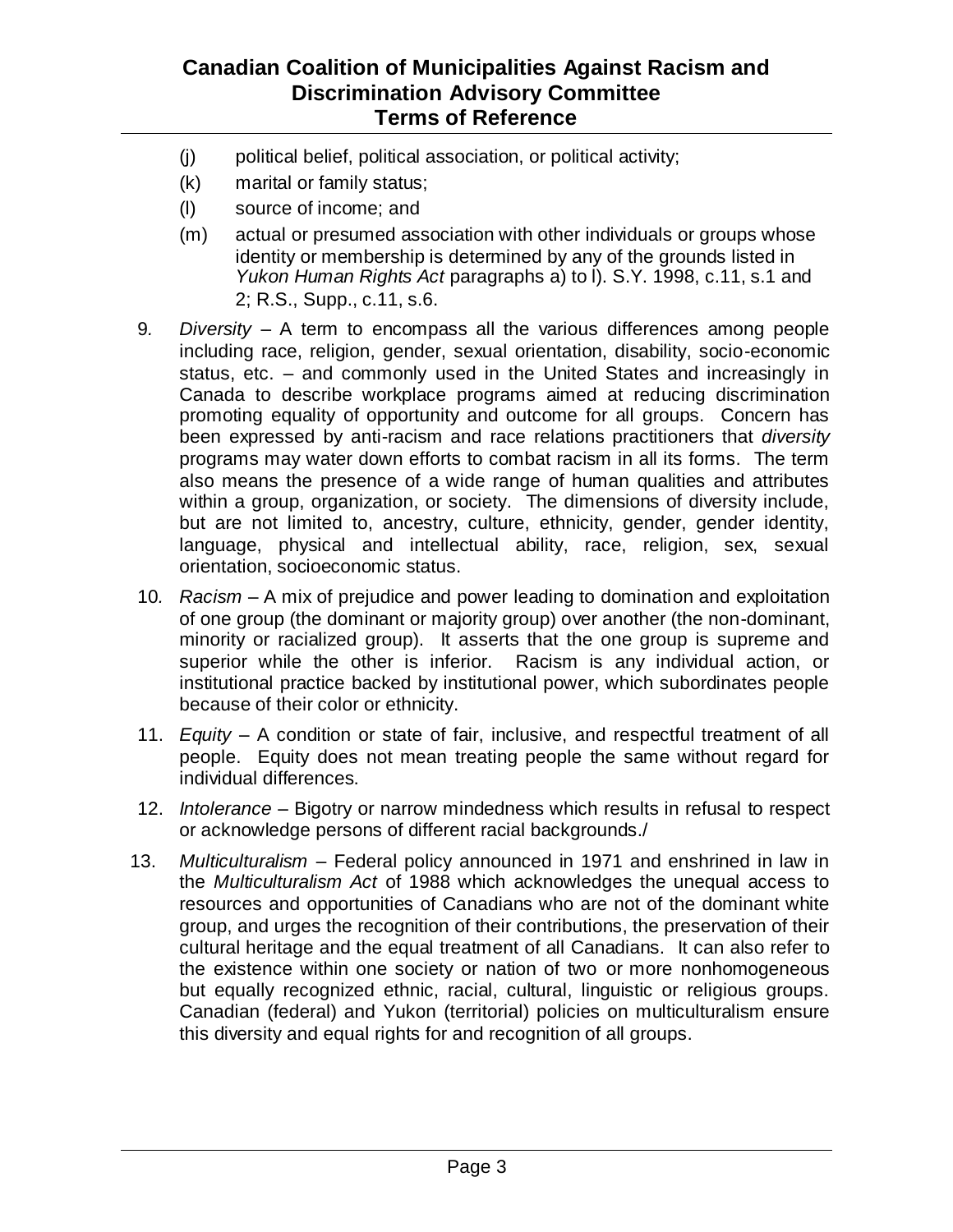- (j) political belief, political association, or political activity;
- (k) marital or family status;
- (l) source of income; and
- (m) actual or presumed association with other individuals or groups whose identity or membership is determined by any of the grounds listed in *Yukon Human Rights Act* paragraphs a) to l). S.Y. 1998, c.11, s.1 and 2; R.S., Supp., c.11, s.6.
- 9*. Diversity* A term to encompass all the various differences among people including race, religion, gender, sexual orientation, disability, socio-economic status, etc. – and commonly used in the United States and increasingly in Canada to describe workplace programs aimed at reducing discrimination promoting equality of opportunity and outcome for all groups. Concern has been expressed by anti-racism and race relations practitioners that *diversity* programs may water down efforts to combat racism in all its forms. The term also means the presence of a wide range of human qualities and attributes within a group, organization, or society. The dimensions of diversity include, but are not limited to, ancestry, culture, ethnicity, gender, gender identity, language, physical and intellectual ability, race, religion, sex, sexual orientation, socioeconomic status.
- 10*. Racism* A mix of prejudice and power leading to domination and exploitation of one group (the dominant or majority group) over another (the non-dominant, minority or racialized group). It asserts that the one group is supreme and superior while the other is inferior. Racism is any individual action, or institutional practice backed by institutional power, which subordinates people because of their color or ethnicity.
- 11. *Equity* A condition or state of fair, inclusive, and respectful treatment of all people. Equity does not mean treating people the same without regard for individual differences.
- 12. *Intolerance* Bigotry or narrow mindedness which results in refusal to respect or acknowledge persons of different racial backgrounds./
- 13. *Multiculturalism* Federal policy announced in 1971 and enshrined in law in the *Multiculturalism Act* of 1988 which acknowledges the unequal access to resources and opportunities of Canadians who are not of the dominant white group, and urges the recognition of their contributions, the preservation of their cultural heritage and the equal treatment of all Canadians. It can also refer to the existence within one society or nation of two or more nonhomogeneous but equally recognized ethnic, racial, cultural, linguistic or religious groups. Canadian (federal) and Yukon (territorial) policies on multiculturalism ensure this diversity and equal rights for and recognition of all groups.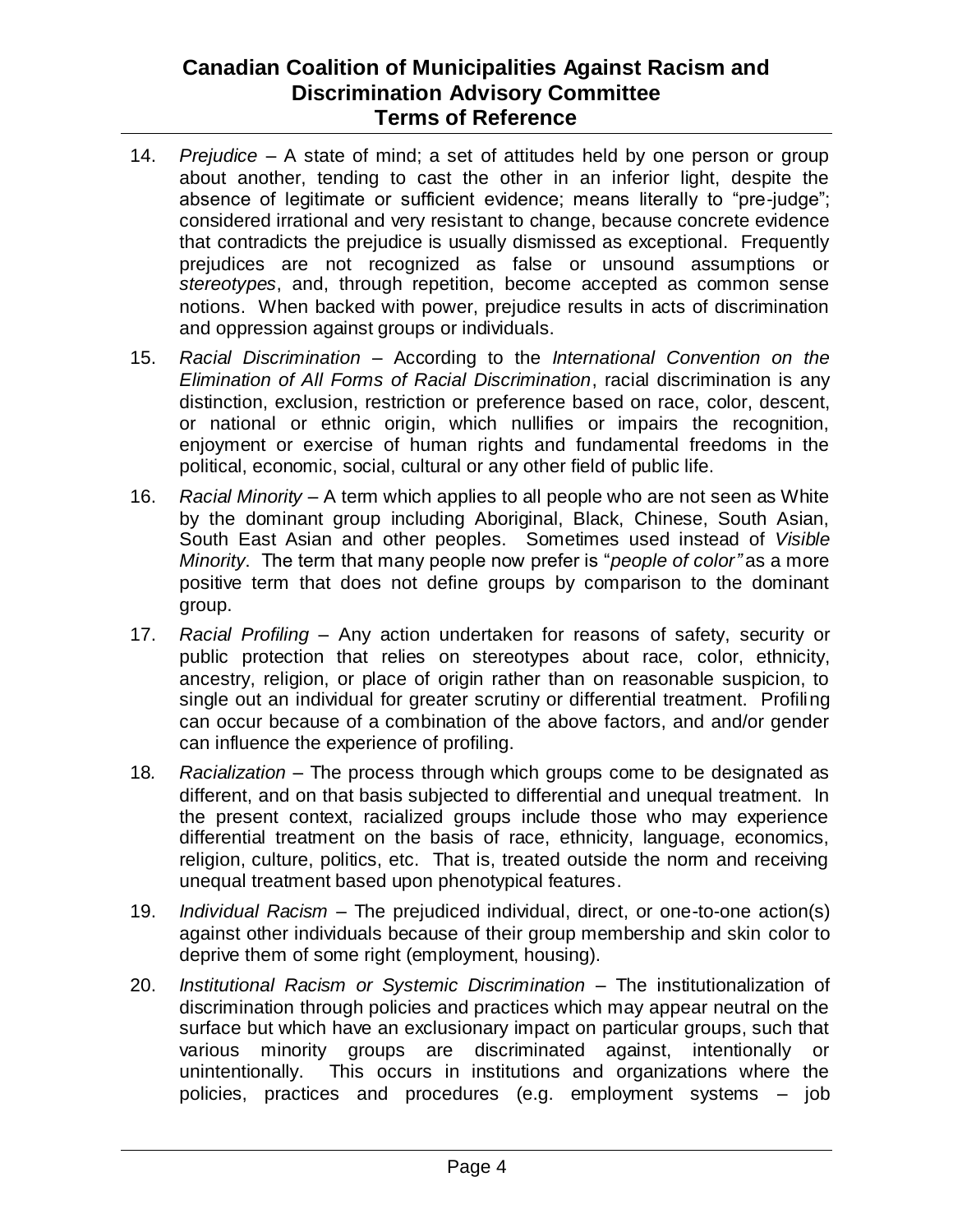- 14. *Prejudice* A state of mind; a set of attitudes held by one person or group about another, tending to cast the other in an inferior light, despite the absence of legitimate or sufficient evidence; means literally to "pre-judge"; considered irrational and very resistant to change, because concrete evidence that contradicts the prejudice is usually dismissed as exceptional. Frequently prejudices are not recognized as false or unsound assumptions or *stereotypes*, and, through repetition, become accepted as common sense notions. When backed with power, prejudice results in acts of discrimination and oppression against groups or individuals.
- 15. *Racial Discrimination* According to the *International Convention on the Elimination of All Forms of Racial Discrimination*, racial discrimination is any distinction, exclusion, restriction or preference based on race, color, descent, or national or ethnic origin, which nullifies or impairs the recognition, enjoyment or exercise of human rights and fundamental freedoms in the political, economic, social, cultural or any other field of public life.
- 16. *Racial Minority* A term which applies to all people who are not seen as White by the dominant group including Aboriginal, Black, Chinese, South Asian, South East Asian and other peoples. Sometimes used instead of *Visible Minority*. The term that many people now prefer is "*people of color"* as a more positive term that does not define groups by comparison to the dominant group.
- 17. *Racial Profiling* Any action undertaken for reasons of safety, security or public protection that relies on stereotypes about race, color, ethnicity, ancestry, religion, or place of origin rather than on reasonable suspicion, to single out an individual for greater scrutiny or differential treatment. Profiling can occur because of a combination of the above factors, and and/or gender can influence the experience of profiling.
- 18*. Racialization* The process through which groups come to be designated as different, and on that basis subjected to differential and unequal treatment. In the present context, racialized groups include those who may experience differential treatment on the basis of race, ethnicity, language, economics, religion, culture, politics, etc. That is, treated outside the norm and receiving unequal treatment based upon phenotypical features.
- 19. *Individual Racism* The prejudiced individual, direct, or one-to-one action(s) against other individuals because of their group membership and skin color to deprive them of some right (employment, housing).
- 20. *Institutional Racism or Systemic Discrimination* The institutionalization of discrimination through policies and practices which may appear neutral on the surface but which have an exclusionary impact on particular groups, such that various minority groups are discriminated against, intentionally or unintentionally. This occurs in institutions and organizations where the policies, practices and procedures (e.g. employment systems – job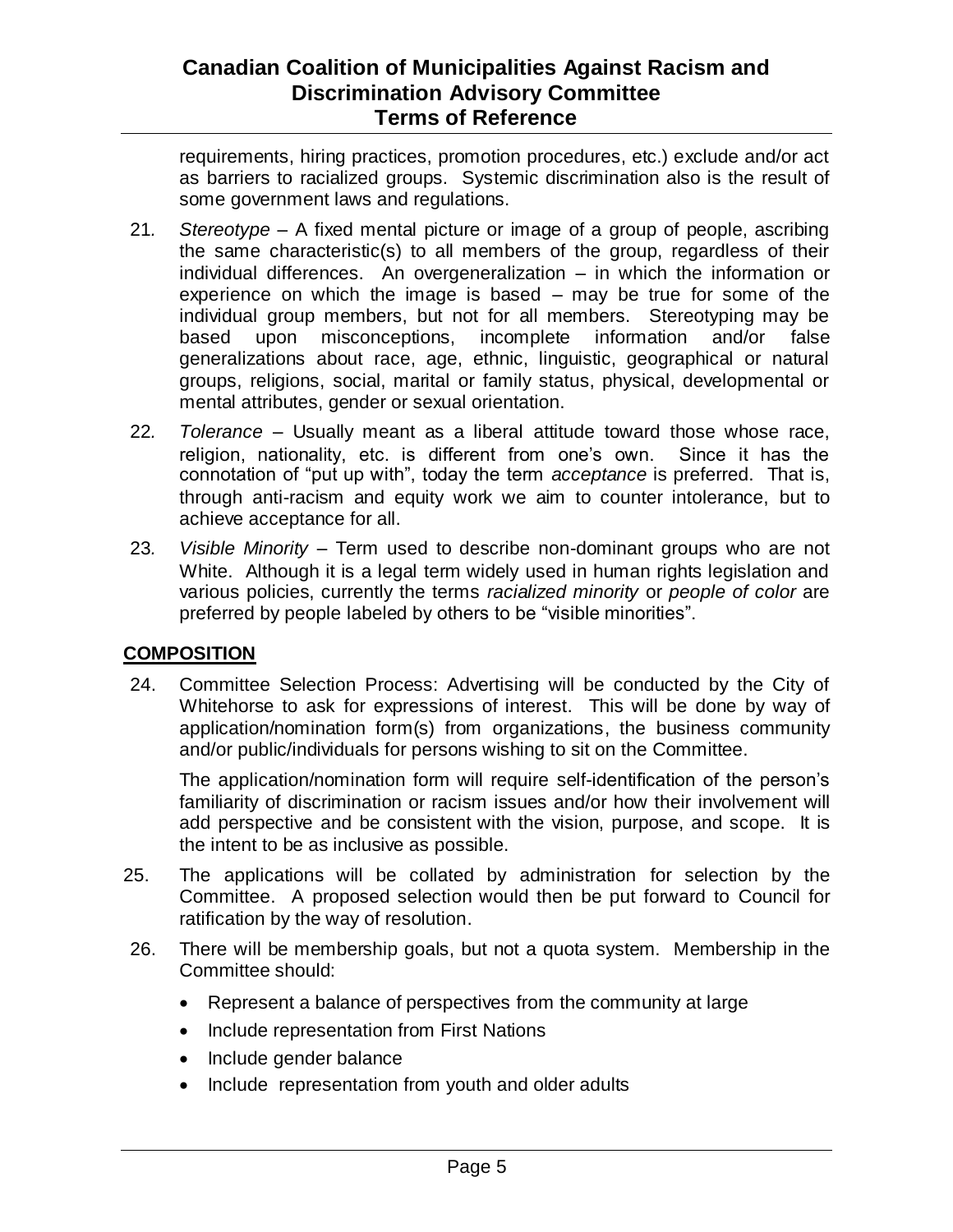requirements, hiring practices, promotion procedures, etc.) exclude and/or act as barriers to racialized groups. Systemic discrimination also is the result of some government laws and regulations.

- 21*. Stereotype* A fixed mental picture or image of a group of people, ascribing the same characteristic(s) to all members of the group, regardless of their individual differences. An overgeneralization – in which the information or experience on which the image is based – may be true for some of the individual group members, but not for all members. Stereotyping may be based upon misconceptions, incomplete information and/or false generalizations about race, age, ethnic, linguistic, geographical or natural groups, religions, social, marital or family status, physical, developmental or mental attributes, gender or sexual orientation.
- 22*. Tolerance* Usually meant as a liberal attitude toward those whose race, religion, nationality, etc. is different from one's own. Since it has the connotation of "put up with", today the term *acceptance* is preferred. That is, through anti-racism and equity work we aim to counter intolerance, but to achieve acceptance for all.
- 23*. Visible Minority* Term used to describe non-dominant groups who are not White. Although it is a legal term widely used in human rights legislation and various policies, currently the terms *racialized minority* or *people of color* are preferred by people labeled by others to be "visible minorities".

### **COMPOSITION**

24. Committee Selection Process: Advertising will be conducted by the City of Whitehorse to ask for expressions of interest. This will be done by way of application/nomination form(s) from organizations, the business community and/or public/individuals for persons wishing to sit on the Committee.

The application/nomination form will require self-identification of the person's familiarity of discrimination or racism issues and/or how their involvement will add perspective and be consistent with the vision, purpose, and scope. It is the intent to be as inclusive as possible.

- 25. The applications will be collated by administration for selection by the Committee. A proposed selection would then be put forward to Council for ratification by the way of resolution.
- 26. There will be membership goals, but not a quota system. Membership in the Committee should:
	- Represent a balance of perspectives from the community at large
	- Include representation from First Nations
	- Include gender balance
	- Include representation from youth and older adults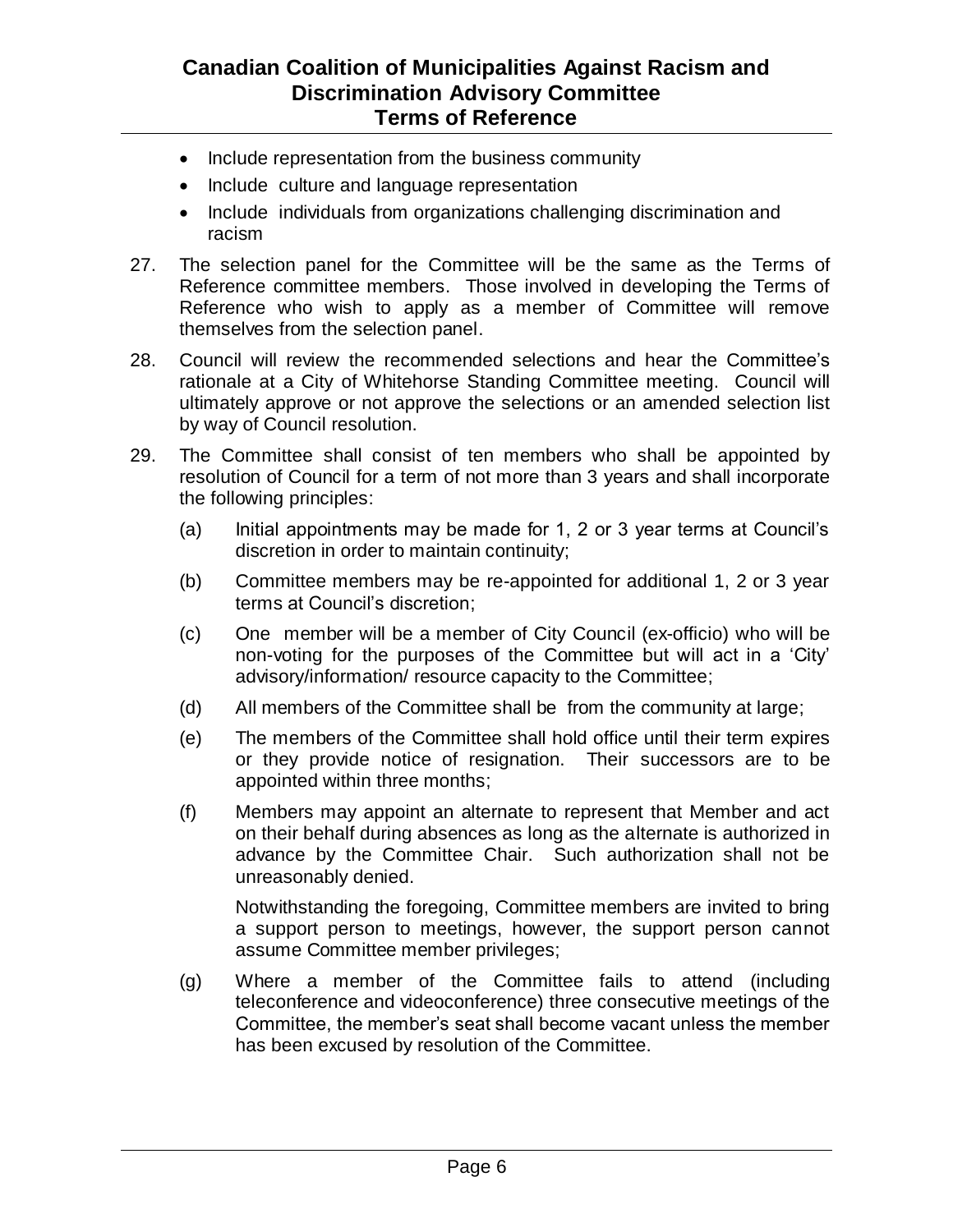- Include representation from the business community
- Include culture and language representation
- Include individuals from organizations challenging discrimination and racism
- 27. The selection panel for the Committee will be the same as the Terms of Reference committee members. Those involved in developing the Terms of Reference who wish to apply as a member of Committee will remove themselves from the selection panel.
- 28. Council will review the recommended selections and hear the Committee's rationale at a City of Whitehorse Standing Committee meeting. Council will ultimately approve or not approve the selections or an amended selection list by way of Council resolution.
- 29. The Committee shall consist of ten members who shall be appointed by resolution of Council for a term of not more than 3 years and shall incorporate the following principles:
	- (a) Initial appointments may be made for 1, 2 or 3 year terms at Council's discretion in order to maintain continuity;
	- (b) Committee members may be re-appointed for additional 1, 2 or 3 year terms at Council's discretion;
	- (c) One member will be a member of City Council (ex-officio) who will be non-voting for the purposes of the Committee but will act in a 'City' advisory/information/ resource capacity to the Committee;
	- (d) All members of the Committee shall be from the community at large;
	- (e) The members of the Committee shall hold office until their term expires or they provide notice of resignation. Their successors are to be appointed within three months;
	- (f) Members may appoint an alternate to represent that Member and act on their behalf during absences as long as the alternate is authorized in advance by the Committee Chair. Such authorization shall not be unreasonably denied.

Notwithstanding the foregoing, Committee members are invited to bring a support person to meetings, however, the support person cannot assume Committee member privileges;

(g) Where a member of the Committee fails to attend (including teleconference and videoconference) three consecutive meetings of the Committee, the member's seat shall become vacant unless the member has been excused by resolution of the Committee.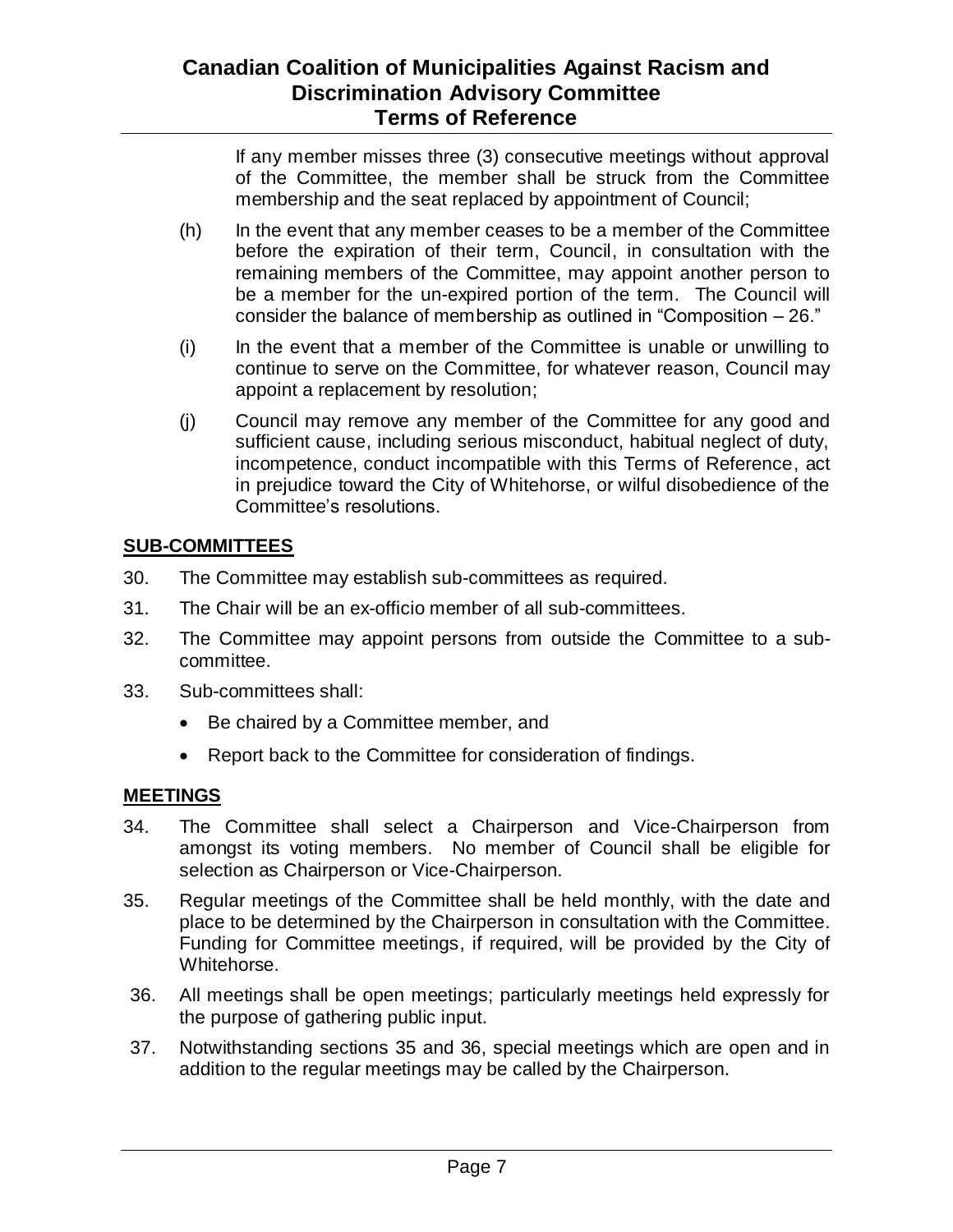If any member misses three (3) consecutive meetings without approval of the Committee, the member shall be struck from the Committee membership and the seat replaced by appointment of Council;

- (h) In the event that any member ceases to be a member of the Committee before the expiration of their term, Council, in consultation with the remaining members of the Committee, may appoint another person to be a member for the un-expired portion of the term. The Council will consider the balance of membership as outlined in "Composition – 26."
- (i) In the event that a member of the Committee is unable or unwilling to continue to serve on the Committee, for whatever reason, Council may appoint a replacement by resolution;
- (j) Council may remove any member of the Committee for any good and sufficient cause, including serious misconduct, habitual neglect of duty, incompetence, conduct incompatible with this Terms of Reference, act in prejudice toward the City of Whitehorse, or wilful disobedience of the Committee's resolutions.

## **SUB-COMMITTEES**

- 30. The Committee may establish sub-committees as required.
- 31. The Chair will be an ex-officio member of all sub-committees.
- 32. The Committee may appoint persons from outside the Committee to a subcommittee.
- 33. Sub-committees shall:
	- Be chaired by a Committee member, and
	- Report back to the Committee for consideration of findings.

### **MEETINGS**

- 34. The Committee shall select a Chairperson and Vice-Chairperson from amongst its voting members. No member of Council shall be eligible for selection as Chairperson or Vice-Chairperson.
- 35. Regular meetings of the Committee shall be held monthly, with the date and place to be determined by the Chairperson in consultation with the Committee. Funding for Committee meetings, if required, will be provided by the City of Whitehorse.
- 36. All meetings shall be open meetings; particularly meetings held expressly for the purpose of gathering public input.
- 37. Notwithstanding sections 35 and 36, special meetings which are open and in addition to the regular meetings may be called by the Chairperson.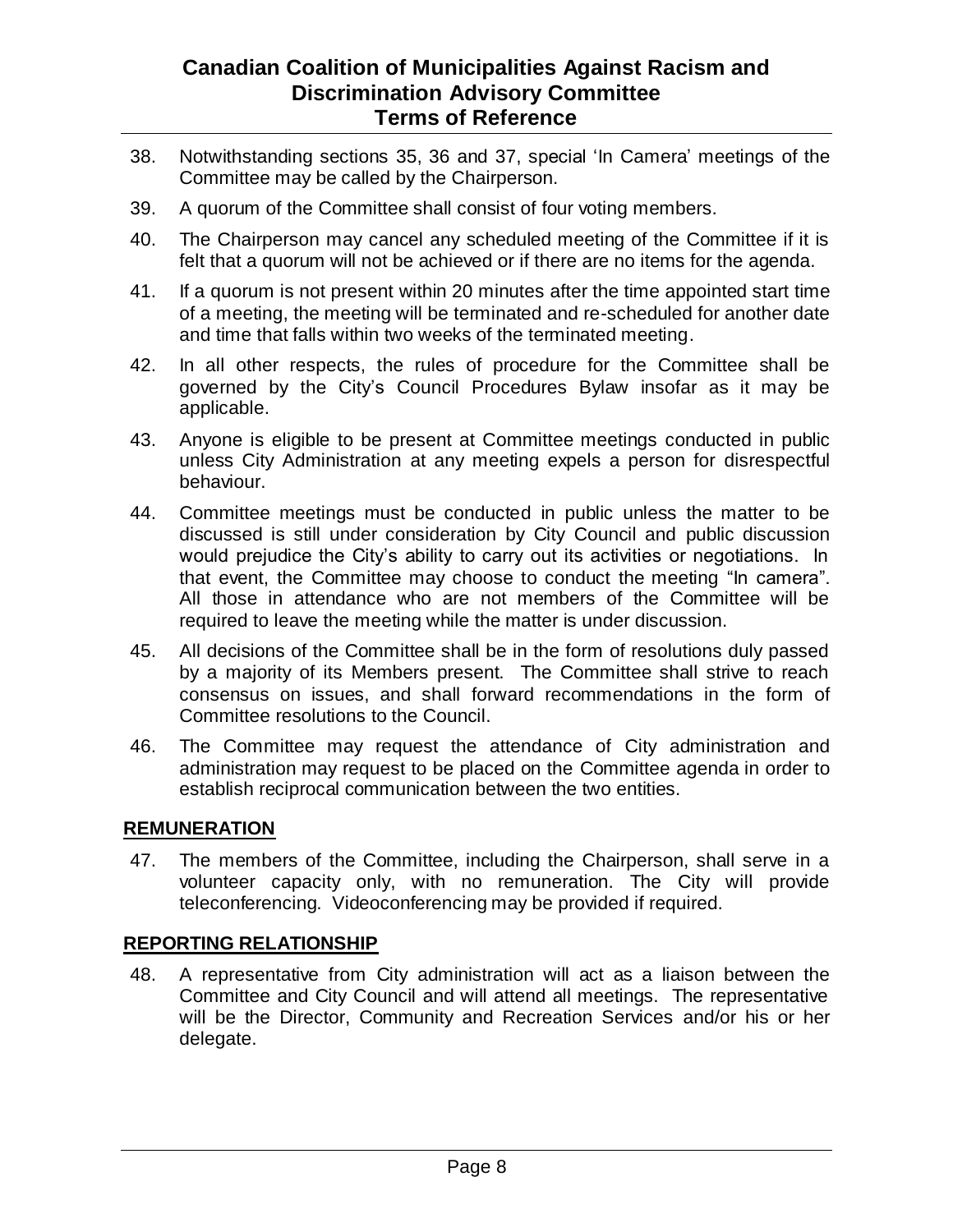- 38. Notwithstanding sections 35, 36 and 37, special 'In Camera' meetings of the Committee may be called by the Chairperson.
- 39. A quorum of the Committee shall consist of four voting members.
- 40. The Chairperson may cancel any scheduled meeting of the Committee if it is felt that a quorum will not be achieved or if there are no items for the agenda.
- 41. If a quorum is not present within 20 minutes after the time appointed start time of a meeting, the meeting will be terminated and re-scheduled for another date and time that falls within two weeks of the terminated meeting.
- 42. In all other respects, the rules of procedure for the Committee shall be governed by the City's Council Procedures Bylaw insofar as it may be applicable.
- 43. Anyone is eligible to be present at Committee meetings conducted in public unless City Administration at any meeting expels a person for disrespectful behaviour.
- 44. Committee meetings must be conducted in public unless the matter to be discussed is still under consideration by City Council and public discussion would prejudice the City's ability to carry out its activities or negotiations. In that event, the Committee may choose to conduct the meeting "In camera". All those in attendance who are not members of the Committee will be required to leave the meeting while the matter is under discussion.
- 45. All decisions of the Committee shall be in the form of resolutions duly passed by a majority of its Members present. The Committee shall strive to reach consensus on issues, and shall forward recommendations in the form of Committee resolutions to the Council.
- 46. The Committee may request the attendance of City administration and administration may request to be placed on the Committee agenda in order to establish reciprocal communication between the two entities.

### **REMUNERATION**

47. The members of the Committee, including the Chairperson, shall serve in a volunteer capacity only, with no remuneration. The City will provide teleconferencing. Videoconferencing may be provided if required.

### **REPORTING RELATIONSHIP**

48. A representative from City administration will act as a liaison between the Committee and City Council and will attend all meetings. The representative will be the Director, Community and Recreation Services and/or his or her delegate.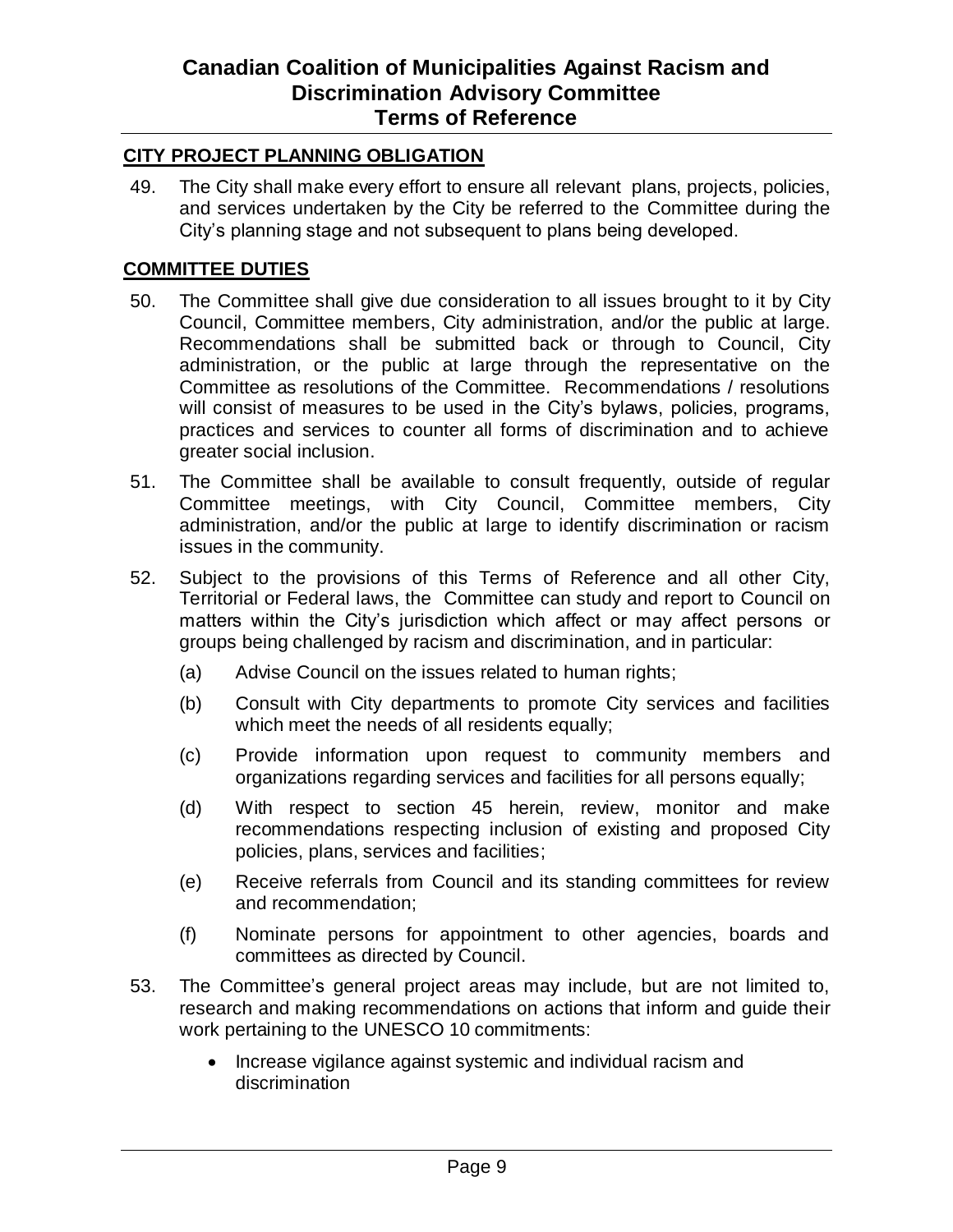#### **CITY PROJECT PLANNING OBLIGATION**

49. The City shall make every effort to ensure all relevant plans, projects, policies, and services undertaken by the City be referred to the Committee during the City's planning stage and not subsequent to plans being developed.

#### **COMMITTEE DUTIES**

- 50. The Committee shall give due consideration to all issues brought to it by City Council, Committee members, City administration, and/or the public at large. Recommendations shall be submitted back or through to Council, City administration, or the public at large through the representative on the Committee as resolutions of the Committee. Recommendations / resolutions will consist of measures to be used in the City's bylaws, policies, programs, practices and services to counter all forms of discrimination and to achieve greater social inclusion.
- 51. The Committee shall be available to consult frequently, outside of regular Committee meetings, with City Council, Committee members, City administration, and/or the public at large to identify discrimination or racism issues in the community.
- 52. Subject to the provisions of this Terms of Reference and all other City, Territorial or Federal laws, the Committee can study and report to Council on matters within the City's jurisdiction which affect or may affect persons or groups being challenged by racism and discrimination, and in particular:
	- (a) Advise Council on the issues related to human rights;
	- (b) Consult with City departments to promote City services and facilities which meet the needs of all residents equally;
	- (c) Provide information upon request to community members and organizations regarding services and facilities for all persons equally;
	- (d) With respect to section 45 herein, review, monitor and make recommendations respecting inclusion of existing and proposed City policies, plans, services and facilities;
	- (e) Receive referrals from Council and its standing committees for review and recommendation;
	- (f) Nominate persons for appointment to other agencies, boards and committees as directed by Council.
- 53. The Committee's general project areas may include, but are not limited to, research and making recommendations on actions that inform and guide their work pertaining to the UNESCO 10 commitments:
	- Increase vigilance against systemic and individual racism and discrimination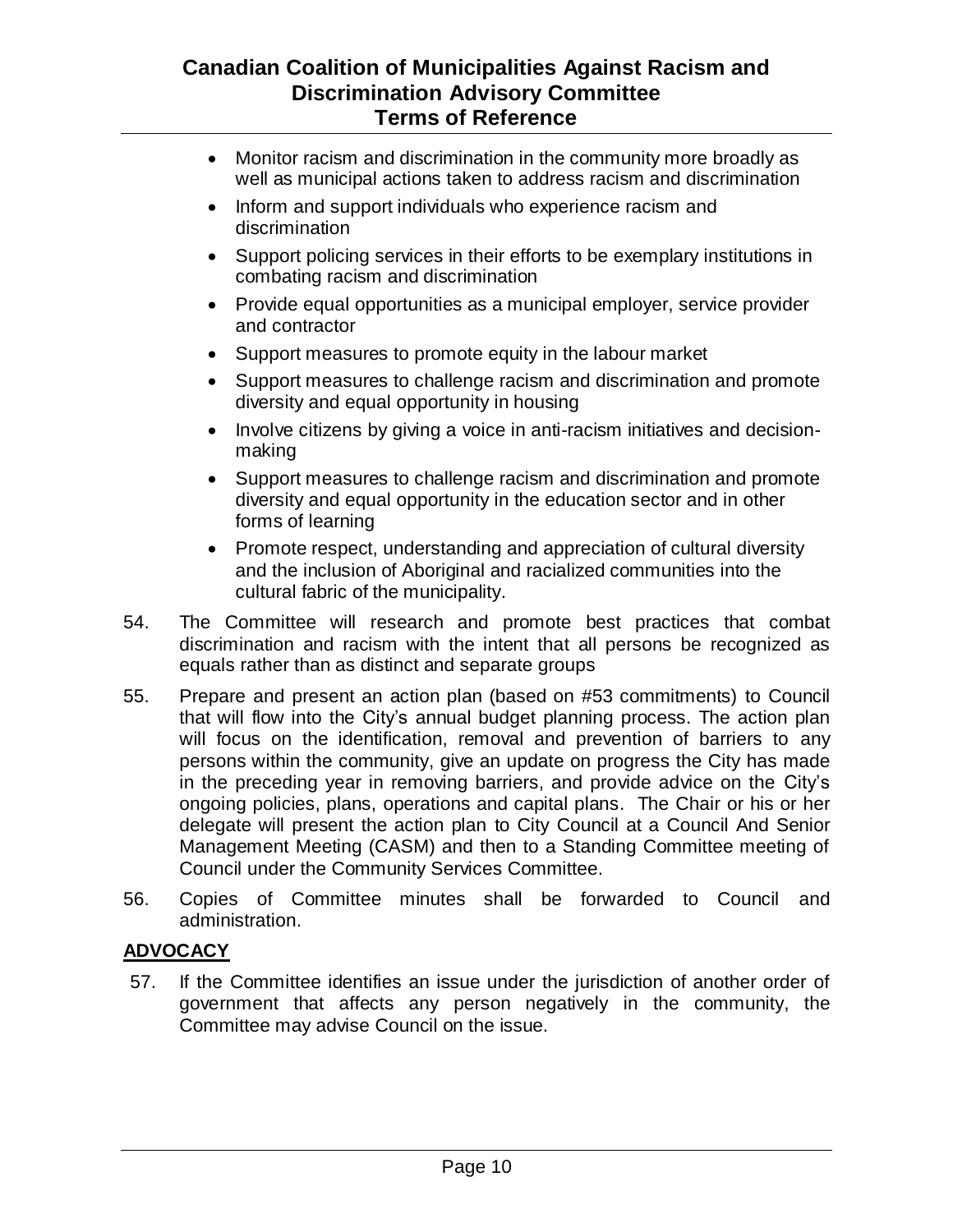- Monitor racism and discrimination in the community more broadly as well as municipal actions taken to address racism and discrimination
- Inform and support individuals who experience racism and discrimination
- Support policing services in their efforts to be exemplary institutions in combating racism and discrimination
- Provide equal opportunities as a municipal employer, service provider and contractor
- Support measures to promote equity in the labour market
- Support measures to challenge racism and discrimination and promote diversity and equal opportunity in housing
- Involve citizens by giving a voice in anti-racism initiatives and decisionmaking
- Support measures to challenge racism and discrimination and promote diversity and equal opportunity in the education sector and in other forms of learning
- Promote respect, understanding and appreciation of cultural diversity and the inclusion of Aboriginal and racialized communities into the cultural fabric of the municipality.
- 54. The Committee will research and promote best practices that combat discrimination and racism with the intent that all persons be recognized as equals rather than as distinct and separate groups
- 55. Prepare and present an action plan (based on #53 commitments) to Council that will flow into the City's annual budget planning process. The action plan will focus on the identification, removal and prevention of barriers to any persons within the community, give an update on progress the City has made in the preceding year in removing barriers, and provide advice on the City's ongoing policies, plans, operations and capital plans. The Chair or his or her delegate will present the action plan to City Council at a Council And Senior Management Meeting (CASM) and then to a Standing Committee meeting of Council under the Community Services Committee.
- 56. Copies of Committee minutes shall be forwarded to Council and administration.

### **ADVOCACY**

57. If the Committee identifies an issue under the jurisdiction of another order of government that affects any person negatively in the community, the Committee may advise Council on the issue.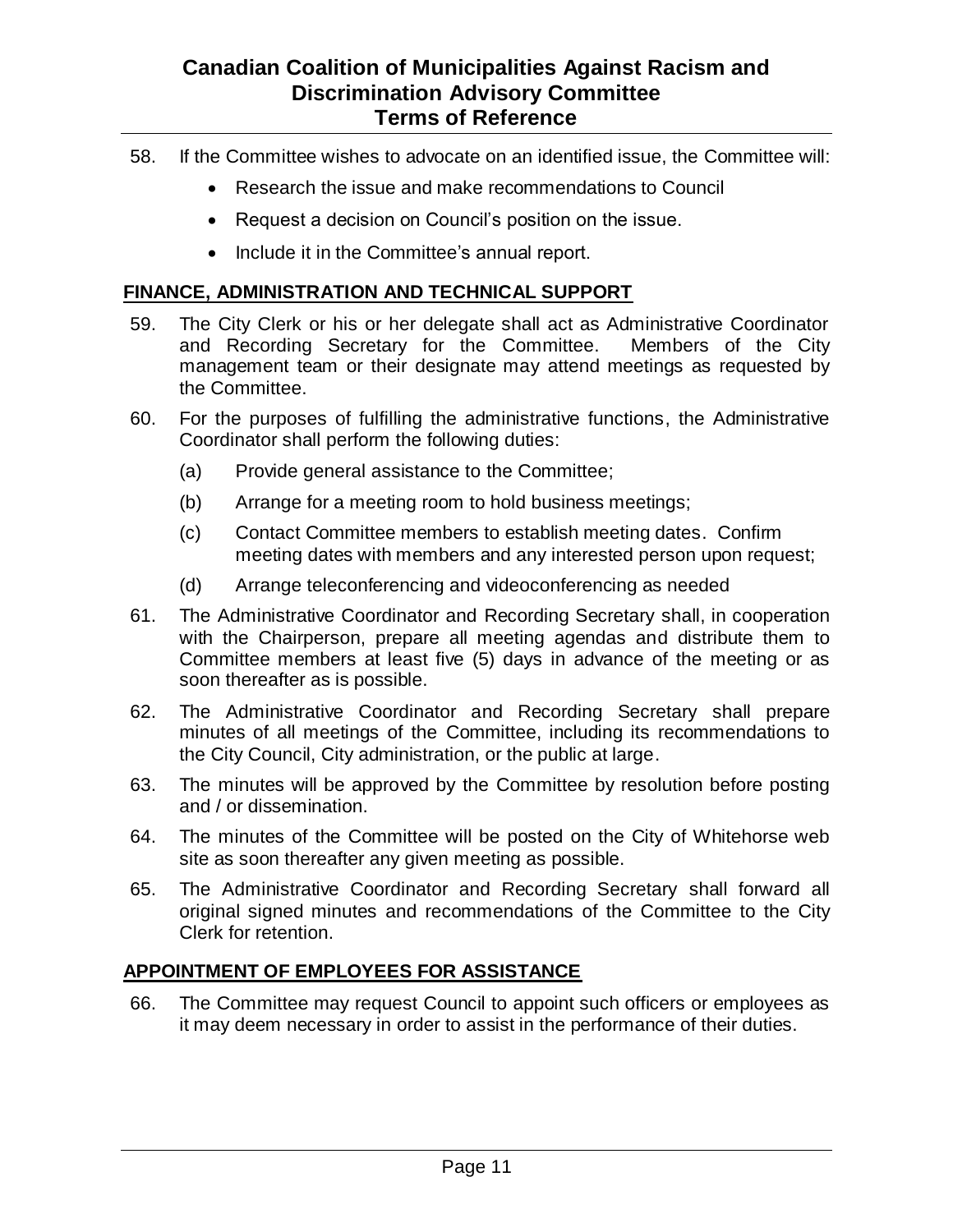- 58. If the Committee wishes to advocate on an identified issue, the Committee will:
	- Research the issue and make recommendations to Council
	- Request a decision on Council's position on the issue.
	- Include it in the Committee's annual report.

#### **FINANCE, ADMINISTRATION AND TECHNICAL SUPPORT**

- 59. The City Clerk or his or her delegate shall act as Administrative Coordinator and Recording Secretary for the Committee. Members of the City management team or their designate may attend meetings as requested by the Committee.
- 60. For the purposes of fulfilling the administrative functions, the Administrative Coordinator shall perform the following duties:
	- (a) Provide general assistance to the Committee;
	- (b) Arrange for a meeting room to hold business meetings;
	- (c) Contact Committee members to establish meeting dates. Confirm meeting dates with members and any interested person upon request;
	- (d) Arrange teleconferencing and videoconferencing as needed
- 61. The Administrative Coordinator and Recording Secretary shall, in cooperation with the Chairperson, prepare all meeting agendas and distribute them to Committee members at least five (5) days in advance of the meeting or as soon thereafter as is possible.
- 62. The Administrative Coordinator and Recording Secretary shall prepare minutes of all meetings of the Committee, including its recommendations to the City Council, City administration, or the public at large.
- 63. The minutes will be approved by the Committee by resolution before posting and / or dissemination.
- 64. The minutes of the Committee will be posted on the City of Whitehorse web site as soon thereafter any given meeting as possible.
- 65. The Administrative Coordinator and Recording Secretary shall forward all original signed minutes and recommendations of the Committee to the City Clerk for retention.

### **APPOINTMENT OF EMPLOYEES FOR ASSISTANCE**

66. The Committee may request Council to appoint such officers or employees as it may deem necessary in order to assist in the performance of their duties.